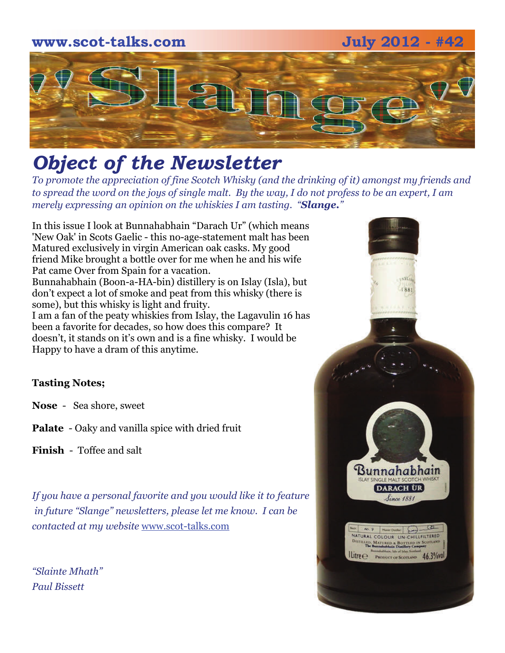# **www.scot-talks.com July 2012 - #42 Part**

# *Object of the Newsletter*

*To promote the appreciation of fine Scotch Whisky (and the drinking of it) amongst my friends and to spread the word on the joys of single malt. By the way, I do not profess to be an expert, I am merely expressing an opinion on the whiskies I am tasting. "Slange."* 

In this issue I look at Bunnahabhain "Darach Ur" (which means 'New Oak' in Scots Gaelic - this no-age-statement malt has been Matured exclusively in virgin American oak casks. My good friend Mike brought a bottle over for me when he and his wife Pat came Over from Spain for a vacation. Bunnahabhain (Boon-a-HA-bin) distillery is on Islay (Isla), but

don't expect a lot of smoke and peat from this whisky (there is some), but this whisky is light and fruity.

I am a fan of the peaty whiskies from Islay, the Lagavulin 16 has been a favorite for decades, so how does this compare? It doesn't, it stands on it's own and is a fine whisky. I would be Happy to have a dram of this anytime.

## **Tasting Notes;**

**Nose** - Sea shore, sweet

**Palate** - Oaky and vanilla spice with dried fruit

**Finish** - Toffee and salt

*If you have a personal favorite and you would like it to feature in future "Slange" newsletters, please let me know. I can be contacted at my website* www.scot-talks.com

*"Slainte Mhath" Paul Bissett*

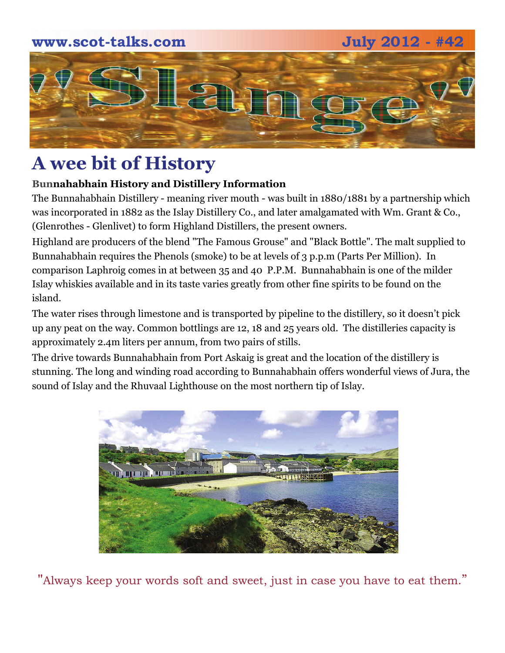

# **A wee bit of History**

### **Bunnahabhain History and Distillery Information**

The Bunnahabhain Distillery - meaning river mouth - was built in 1880/1881 by a partnership which was incorporated in 1882 as the Islay Distillery Co., and later amalgamated with Wm. Grant & Co., (Glenrothes - Glenlivet) to form Highland Distillers, the present owners.

Highland are producers of the blend "The Famous Grouse" and "Black Bottle". The malt supplied to Bunnahabhain requires the Phenols (smoke) to be at levels of 3 p.p.m (Parts Per Million). In comparison Laphroig comes in at between 35 and 40 P.P.M. Bunnahabhain is one of the milder Islay whiskies available and in its taste varies greatly from other fine spirits to be found on the island.

The water rises through limestone and is transported by pipeline to the distillery, so it doesn't pick up any peat on the way. Common bottlings are 12, 18 and 25 years old. The distilleries capacity is approximately 2.4m liters per annum, from two pairs of stills.

The drive towards Bunnahabhain from Port Askaig is great and the location of the distillery is stunning. The long and winding road according to Bunnahabhain offers wonderful views of Jura, the sound of Islay and the Rhuvaal Lighthouse on the most northern tip of Islay.



"Always keep your words soft and sweet, just in case you have to eat them."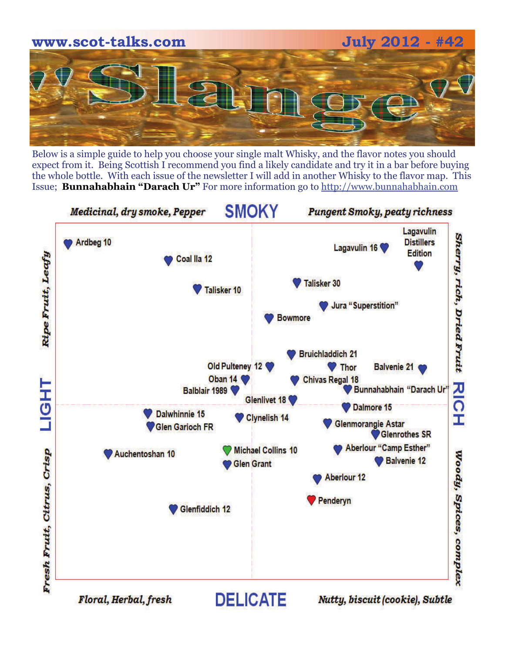

Below is a simple guide to help you choose your single malt Whisky, and the flavor notes you should expect from it. Being Scottish I recommend you find a likely candidate and try it in a bar before buying the whole bottle. With each issue of the newsletter I will add in another Whisky to the flavor map. This Issue; **Bunnahabhain "Darach Ur"** For more information go to http://www.bunnahabhain.com